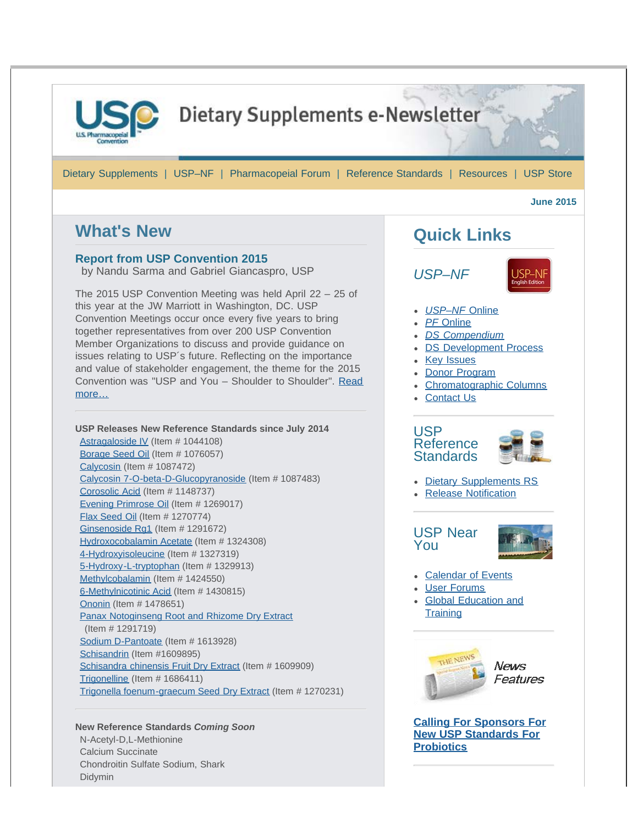

# **Dietary Supplements e-Newsletter**

[Dietary Supplements](http://www.usp.org/dietary-supplements/overview) | [USP–NF](http://www.usp.org/usp-nf) | [Pharmacopeial](http://www.usp.org/usp-nf/pharmacopeial-forum) Forum | Reference [Standards](http://www.usp.org/reference-standards) | [Resources](http://www.usp.org/dietary-supplements/resources) | [USP Store](http://www.usp.org/products)

 **June 2015** 

# **What's New**

### **Report from USP Convention 2015**

by Nandu Sarma and Gabriel Giancaspro, USP

The 2015 USP Convention Meeting was held April 22 – 25 of this year at the JW Marriott in Washington, DC. USP Convention Meetings occur once every five years to bring together representatives from over 200 USP Convention Member Organizations to discuss and provide guidance on issues relating to USP´s future. Reflecting on the importance and value of stakeholder engagement, the theme for the 2015 Convention was "USP and You – Shoulder to Shoulder". [Read](http://www.usp.org/sites/default/files/usp_pdf/EN/dietarySupp/newsletter/201506-convention.pdf) [more…](http://www.usp.org/sites/default/files/usp_pdf/EN/dietarySupp/newsletter/201506-convention.pdf)

## **USP Releases New Reference Standards since July 2014**

[Astragaloside IV](https://store.usp.org/OA_HTML/ibeCCtpItmDspRte.jsp?sitex=10020:22372:US&item=428093) (Item # 1044108) [Borage Seed Oil](https://store.usp.org/OA_HTML/ibeCCtpItmDspRte.jsp?sitex=10020:22372:US&item=194109) (Item # 1076057) [Calycosin](https://store.usp.org/OA_HTML/ibeCCtpItmDspRte.jsp?sitex=10020:22372:US&item=428089) (Item # 1087472) [Calycosin 7-O-beta-D-Glucopyranoside](https://store.usp.org/OA_HTML/ibeCCtpItmDspRte.jsp?sitex=10020:22372:US&item=428091) (Item # 1087483) [Corosolic Acid](https://store.usp.org/OA_HTML/ibeCCtpItmDspRte.jsp?sitex=10020:22372:US&item=204071) (Item # 1148737) [Evening Primrose Oil](https://store.usp.org/OA_HTML/ibeCCtpItmDspRte.jsp?sitex=10020:22372:US&item=194113) (Item # 1269017) [Flax Seed Oil](https://store.usp.org/OA_HTML/ibeCCtpItmDspRte.jsp?sitex=10020:22372:US&item=194111) (Item # 1270774) [Ginsenoside Rg1](https://store.usp.org/OA_HTML/ibeCCtpItmDspRte.jsp?sitex=10020:22372:US&item=195067) (Item # 1291672) [Hydroxocobalamin Acetate](https://store.usp.org/OA_HTML/ibeCCtpItmDspRte.jsp?sitex=10020:22372:US&item=210069) (Item # 1324308) [4-Hydroxyisoleucine](https://store.usp.org/OA_HTML/ibeCCtpItmDspRte.jsp?sitex=10020:22372:US&item=189067) (Item # 1327319) [5-Hydroxy-L-tryptophan](https://store.usp.org/OA_HTML/ibeCCtpItmDspRte.jsp?sitex=10020:22372:US&item=261070) (Item # 1329913) [Methylcobalamin](https://store.usp.org/OA_HTML/ibeCCtpItmDspRte.jsp?sitex=10020:22372:US&item=210067) (Item # 1424550) [6-Methylnicotinic Acid](https://store.usp.org/OA_HTML/ibeCCtpItmDspRte.jsp?sitex=10020:22372:US&item=411165) (Item # 1430815) [Ononin](https://store.usp.org/OA_HTML/ibeCCtpItmDspRte.jsp?sitex=10020:22372:US&item=428097) (Item # 1478651) [Panax Notoginseng Root and Rhizome Dry Extract](https://store.usp.org/OA_HTML/ibeCCtpItmDspRte.jsp?sitex=10020:22372:US&item=195069) (Item # 1291719) [Sodium D-Pantoate](https://store.usp.org/OA_HTML/ibeCCtpItmDspRte.jsp?sitex=10020:22372:US&item=424121) (Item # 1613928) [Schisandrin](https://store.usp.org/OA_HTML/ibeCCtpItmDspRte.jsp?sitex=10020:22372:US&item=222071) (Item #1609895) [Schisandra chinensis Fruit Dry Extract](https://store.usp.org/OA_HTML/ibeCCtpItmDspRte.jsp?sitex=10020:22372:US&item=222073) (Item # 1609909) [Trigonelline](https://store.usp.org/OA_HTML/ibeCCtpItmDspRte.jsp?sitex=10020:22372:US&item=199077) (Item # 1686411) [Trigonella foenum-graecum Seed Dry Extract](https://store.usp.org/OA_HTML/ibeCCtpItmDspRte.jsp?sitex=10020:22372:US&item=189069) (Item # 1270231)

#### **New Reference Standards** *Coming Soon* N-Acetyl-D,L-Methionine Calcium Succinate Chondroitin Sulfate Sodium, Shark **Didymin**

# **Quick Links**

*USP–NF*



- *[USP–NF](http://www.uspnf.com/)* [Online](http://www.uspnf.com/)
- *[PF](http://www.usppf.com/)* [Online](http://www.usppf.com/)
- *[DS Compendium](http://www.usp.org/dietary-supplements/dietary-supplements-compendium)*
- [DS Development Process](http://www.usp.org/dietary-supplements/development-process)
- [Key Issues](http://www.usp.org/usp-nf/key-issues)
- [Donor Program](http://www.usp.org/usp-nf/development-process/donor-program)
- [Chromatographic Columns](http://www.usp.org/usp-nf/new-chromatographic-columns-online-database)
- [Contact Us](http://www.usp.org/contact-us)

## USP **Reference Standards**



• [Dietary Supplements RS](http://www.usp.org/dietary-supplements/reference-standards)

• [Release Notification](http://www.usp.org/reference-standards/find-reference-standard/notification-service)





- [Calendar of Events](http://www.usp.org/meetings-courses/calendar)
- [User Forums](http://www.usp.org/meetings-courses/user-forums)
- [Global Education and](http://www.usp.org/meetings-courses/courses) **[Training](http://www.usp.org/meetings-courses/courses)**



**[Calling For Sponsors For](http://www.usp.org/sites/default/files/usp_pdf/EN/dietarySupp/newsletter/201506-probiotics.pdf) [New USP Standards For](http://www.usp.org/sites/default/files/usp_pdf/EN/dietarySupp/newsletter/201506-probiotics.pdf) [Probiotics](http://www.usp.org/sites/default/files/usp_pdf/EN/dietarySupp/newsletter/201506-probiotics.pdf)**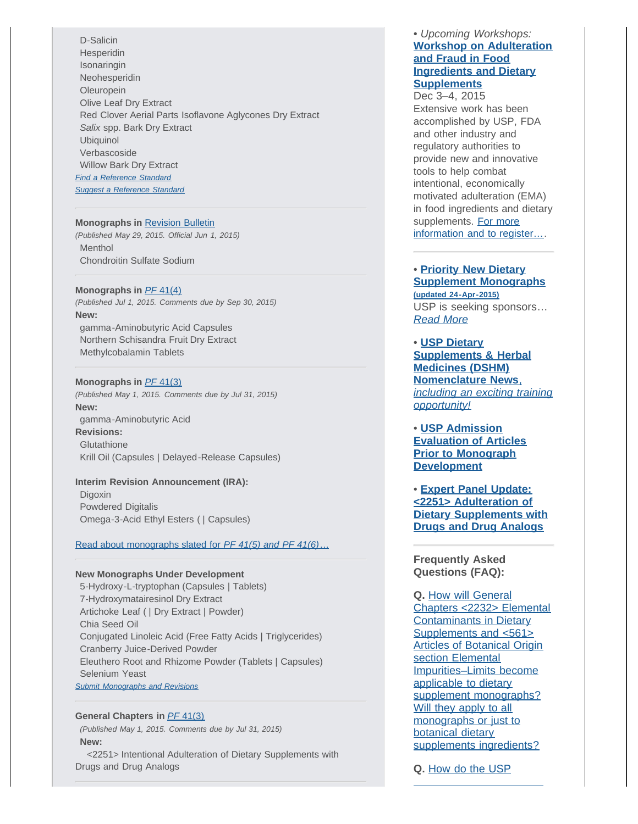D-Salicin Hesperidin Isonaringin Neohesperidin **Oleuropein**  Olive Leaf Dry Extract Red Clover Aerial Parts Isoflavone Aglycones Dry Extract *Salix* spp. Bark Dry Extract **Ubiquinol**  Verbascoside Willow Bark Dry Extract *[Find a Reference Standard](http://www.usp.org/reference-standards/find-reference-standard) [Suggest a Reference Standard](http://www.usp.org/reference-standards/find-reference-standard/suggest-reference-standard)*

#### **Monographs in [Revision Bulletin](http://www.usp.org/usp-nf/pharmacopeial-forum)**

*(Published May 29, 2015. Official Jun 1, 2015)* Menthol Chondroitin Sulfate Sodium

#### **Monographs in** *[PF](http://www.usp.org/usp-nf/pharmacopeial-forum)* [41\(4\)](http://www.usp.org/usp-nf/pharmacopeial-forum)

*(Published Jul 1, 2015. Comments due by Sep 30, 2015)* **New:** gamma-Aminobutyric Acid Capsules Northern Schisandra Fruit Dry Extract Methylcobalamin Tablets

#### **Monographs in** *[PF](http://www.usp.org/usp-nf/pharmacopeial-forum)* [41\(3\)](http://www.usp.org/usp-nf/pharmacopeial-forum)

*(Published May 1, 2015. Comments due by Jul 31, 2015)* **New:** gamma-Aminobutyric Acid **Revisions:** Glutathione Krill Oil (Capsules | Delayed-Release Capsules)

#### **Interim Revision Announcement (IRA):**

**Digoxin**  Powdered Digitalis Omega-3-Acid Ethyl Esters ( | Capsules)

#### [Read about monographs slated for](http://www.usp.org/sites/default/files/usp_pdf/EN/dietarySupp/newsletter/201506-future-pf.pdf) *[PF 41\(5\) and PF 41\(6\)](http://www.usp.org/sites/default/files/usp_pdf/EN/dietarySupp/newsletter/201506-future-pf.pdf)*[…](http://www.usp.org/sites/default/files/usp_pdf/EN/dietarySupp/newsletter/201506-future-pf.pdf)

#### **New Monographs Under Development**

 5-Hydroxy-L-tryptophan (Capsules | Tablets) 7-Hydroxymatairesinol Dry Extract Artichoke Leaf ( | Dry Extract | Powder) Chia Seed Oil Conjugated Linoleic Acid (Free Fatty Acids | Triglycerides) Cranberry Juice-Derived Powder Eleuthero Root and Rhizome Powder (Tablets | Capsules) Selenium Yeast *[Submit Monographs and Revisions](http://www.usp.org/dietary-supplements/development-process/submit-monographs-revisions)*

#### **General Chapters in** *[PF](http://www.usp.org/usp-nf/pharmacopeial-forum)* [41\(3\)](http://www.usp.org/usp-nf/pharmacopeial-forum)

 *(Published May 1, 2015. Comments due by Jul 31, 2015)* **New:**

<2251> Intentional Adulteration of Dietary Supplements with Drugs and Drug Analogs

### • *Upcoming Workshops:* **[Workshop on Adulteration](http://www.usp.org/meetings-courses/workshops/adulteration-and-fraud-food-ingredients-and-dietary-supplements) [and Fraud in Food](http://www.usp.org/meetings-courses/workshops/adulteration-and-fraud-food-ingredients-and-dietary-supplements) [Ingredients and Dietary](http://www.usp.org/meetings-courses/workshops/adulteration-and-fraud-food-ingredients-and-dietary-supplements) [Supplements](http://www.usp.org/meetings-courses/workshops/adulteration-and-fraud-food-ingredients-and-dietary-supplements)**

Dec 3–4, 2015 Extensive work has been accomplished by USP, FDA and other industry and regulatory authorities to provide new and innovative tools to help combat intentional, economically motivated adulteration (EMA) in food ingredients and dietary supplements. [For more](http://www.usp.org/meetings-courses/workshops/adulteration-and-fraud-food-ingredients-and-dietary-supplements) [information and to register…](http://www.usp.org/meetings-courses/workshops/adulteration-and-fraud-food-ingredients-and-dietary-supplements).

• **[Priority New Dietary](http://www.usp.org/dietary-supplements/development-process/priority-new-dietary-supplement-monographs) [Supplement Monographs](http://www.usp.org/dietary-supplements/development-process/priority-new-dietary-supplement-monographs) [\(updated 24-Apr-2015\)](http://www.usp.org/dietary-supplements/development-process/priority-new-dietary-supplement-monographs)** USP is seeking sponsors… *[Read More](http://www.usp.org/dietary-supplements/development-process/priority-new-dietary-supplement-monographs)*

• **[USP Dietary](http://www.usp.org/sites/default/files/usp_pdf/EN/dietarySupp/newsletter/201506-dshm.pdf) [Supplements & Herbal](http://www.usp.org/sites/default/files/usp_pdf/EN/dietarySupp/newsletter/201506-dshm.pdf) [Medicines \(DSHM\)](http://www.usp.org/sites/default/files/usp_pdf/EN/dietarySupp/newsletter/201506-dshm.pdf) [Nomenclature News](http://www.usp.org/sites/default/files/usp_pdf/EN/dietarySupp/newsletter/201506-dshm.pdf)**[,](http://www.usp.org/sites/default/files/usp_pdf/EN/dietarySupp/newsletter/201506-dshm.pdf) *[including an exciting training](http://www.usp.org/sites/default/files/usp_pdf/EN/dietarySupp/newsletter/201506-dshm.pdf) [opportunity!](http://www.usp.org/sites/default/files/usp_pdf/EN/dietarySupp/newsletter/201506-dshm.pdf)*

• **[USP Admission](http://www.usp.org/sites/default/files/usp_pdf/EN/dietarySupp/newsletter/201506-admission.pdf) [Evaluation of Articles](http://www.usp.org/sites/default/files/usp_pdf/EN/dietarySupp/newsletter/201506-admission.pdf) [Prior to Monograph](http://www.usp.org/sites/default/files/usp_pdf/EN/dietarySupp/newsletter/201506-admission.pdf) [Development](http://www.usp.org/sites/default/files/usp_pdf/EN/dietarySupp/newsletter/201506-admission.pdf)**

• **[Expert Panel Update:](http://www.usp.org/sites/default/files/usp_pdf/EN/dietarySupp/newsletter/201506-ep-update.pdf) [<2251> Adulteration of](http://www.usp.org/sites/default/files/usp_pdf/EN/dietarySupp/newsletter/201506-ep-update.pdf) [Dietary Supplements with](http://www.usp.org/sites/default/files/usp_pdf/EN/dietarySupp/newsletter/201506-ep-update.pdf) [Drugs and Drug Analogs](http://www.usp.org/sites/default/files/usp_pdf/EN/dietarySupp/newsletter/201506-ep-update.pdf)**

**Frequently Asked Questions (FAQ):**

**Q.** [How will General](http://www.usp.org/sites/default/files/usp_pdf/EN/dietarySupp/newsletter/faq.pdf) [Chapters <2232> Elemental](http://www.usp.org/sites/default/files/usp_pdf/EN/dietarySupp/newsletter/faq.pdf) [Contaminants in Dietary](http://www.usp.org/sites/default/files/usp_pdf/EN/dietarySupp/newsletter/faq.pdf) [Supplements and <561>](http://www.usp.org/sites/default/files/usp_pdf/EN/dietarySupp/newsletter/faq.pdf) **[Articles of Botanical Origin](http://www.usp.org/sites/default/files/usp_pdf/EN/dietarySupp/newsletter/faq.pdf)** [section Elemental](http://www.usp.org/sites/default/files/usp_pdf/EN/dietarySupp/newsletter/faq.pdf) [Impurities–Limits become](http://www.usp.org/sites/default/files/usp_pdf/EN/dietarySupp/newsletter/faq.pdf) [applicable to dietary](http://www.usp.org/sites/default/files/usp_pdf/EN/dietarySupp/newsletter/faq.pdf) [supplement monographs?](http://www.usp.org/sites/default/files/usp_pdf/EN/dietarySupp/newsletter/faq.pdf) [Will they apply to all](http://www.usp.org/sites/default/files/usp_pdf/EN/dietarySupp/newsletter/faq.pdf) [monographs or just to](http://www.usp.org/sites/default/files/usp_pdf/EN/dietarySupp/newsletter/faq.pdf) [botanical dietary](http://www.usp.org/sites/default/files/usp_pdf/EN/dietarySupp/newsletter/faq.pdf) [supplements ingredients?](http://www.usp.org/sites/default/files/usp_pdf/EN/dietarySupp/newsletter/faq.pdf)

**Q.** [How do the USP](http://www.usp.org/sites/default/files/usp_pdf/EN/dietarySupp/newsletter/faq.pdf)